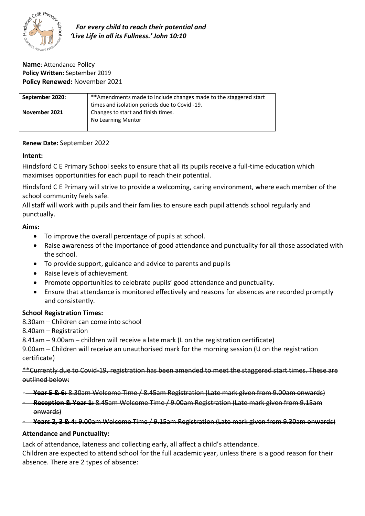

 *For every child to reach their potential and 'Live Life in all its Fullness.' John 10:10*

### **Name**: Attendance Policy **Policy Written:** September 2019 **Policy Renewed:** November 2021

| September 2020: | ** Amendments made to include changes made to the staggered start |
|-----------------|-------------------------------------------------------------------|
|                 | times and isolation periods due to Covid -19.                     |
| November 2021   | Changes to start and finish times.                                |
|                 | No Learning Mentor                                                |
|                 |                                                                   |

### **Renew Date:** September 2022

## **Intent:**

Hindsford C E Primary School seeks to ensure that all its pupils receive a full-time education which maximises opportunities for each pupil to reach their potential.

Hindsford C E Primary will strive to provide a welcoming, caring environment, where each member of the school community feels safe.

All staff will work with pupils and their families to ensure each pupil attends school regularly and punctually.

## **Aims:**

- To improve the overall percentage of pupils at school.
- Raise awareness of the importance of good attendance and punctuality for all those associated with the school.
- To provide support, guidance and advice to parents and pupils
- Raise levels of achievement.
- Promote opportunities to celebrate pupils' good attendance and punctuality.
- Ensure that attendance is monitored effectively and reasons for absences are recorded promptly and consistently.

## **School Registration Times:**

- 8.30am Children can come into school
- 8.40am Registration
- 8.41am 9.00am children will receive a late mark (L on the registration certificate)

9.00am – Children will receive an unauthorised mark for the morning session (U on the registration certificate)

\*\*Currently due to Covid-19, registration has been amended to meet the staggered start times. These are outlined below:

- **Year 5 & 6:** 8.30am Welcome Time / 8.45am Registration (Late mark given from 9.00am onwards)
- **Reception & Year 1:** 8.45am Welcome Time / 9.00am Registration (Late mark given from 9.15am onwards)
- **Years 2, 3 & 4:** 9.00am Welcome Time / 9.15am Registration (Late mark given from 9.30am onwards)

## **Attendance and Punctuality:**

Lack of attendance, lateness and collecting early, all affect a child's attendance.

Children are expected to attend school for the full academic year, unless there is a good reason for their absence. There are 2 types of absence: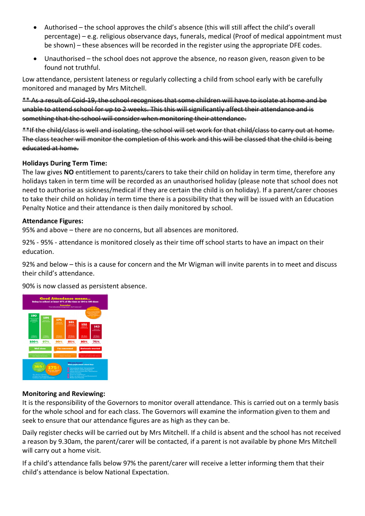- Authorised the school approves the child's absence (this will still affect the child's overall percentage) – e.g. religious observance days, funerals, medical (Proof of medical appointment must be shown) – these absences will be recorded in the register using the appropriate DFE codes.
- Unauthorised the school does not approve the absence, no reason given, reason given to be found not truthful.

Low attendance, persistent lateness or regularly collecting a child from school early with be carefully monitored and managed by Mrs Mitchell.

\*\* As a result of Coid-19, the school recognises that some children will have to isolate at home and be unable to attend school for up to 2 weeks. This this will significantly affect their attendance and is something that the school will consider when monitoring their attendance.

\*\*If the child/class is well and isolating, the school will set work for that child/class to carry out at home. The class teacher will monitor the completion of this work and this will be classed that the child is being educated at home.

## **Holidays During Term Time:**

The law gives **NO** entitlement to parents/carers to take their child on holiday in term time, therefore any holidays taken in term time will be recorded as an unauthorised holiday (please note that school does not need to authorise as sickness/medical if they are certain the child is on holiday). If a parent/carer chooses to take their child on holiday in term time there is a possibility that they will be issued with an Education Penalty Notice and their attendance is then daily monitored by school.

#### **Attendance Figures:**

95% and above – there are no concerns, but all absences are monitored.

92% - 95% - attendance is monitored closely as their time off school starts to have an impact on their education.

92% and below – this is a cause for concern and the Mr Wigman will invite parents in to meet and discuss their child's attendance.

90% is now classed as persistent absence.



#### **Monitoring and Reviewing:**

It is the responsibility of the Governors to monitor overall attendance. This is carried out on a termly basis for the whole school and for each class. The Governors will examine the information given to them and seek to ensure that our attendance figures are as high as they can be.

Daily register checks will be carried out by Mrs Mitchell. If a child is absent and the school has not received a reason by 9.30am, the parent/carer will be contacted, if a parent is not available by phone Mrs Mitchell will carry out a home visit.

If a child's attendance falls below 97% the parent/carer will receive a letter informing them that their child's attendance is below National Expectation.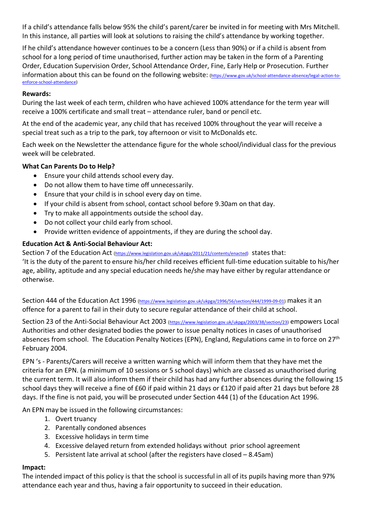If a child's attendance falls below 95% the child's parent/carer be invited in for meeting with Mrs Mitchell. In this instance, all parties will look at solutions to raising the child's attendance by working together.

If he child's attendance however continues to be a concern (Less than 90%) or if a child is absent from school for a long period of time unauthorised, further action may be taken in the form of a Parenting Order, Education Supervision Order, School Attendance Order, Fine, Early Help or Prosecution. Further information about this can be found on the following website: (https://www.gov.uk/school-attendance-absence/legal-action-toenforce-school-attendance)

## **Rewards:**

During the last week of each term, children who have achieved 100% attendance for the term year will receive a 100% certificate and small treat – attendance ruler, band or pencil etc.

At the end of the academic year, any child that has received 100% throughout the year will receive a special treat such as a trip to the park, toy afternoon or visit to McDonalds etc.

Each week on the Newsletter the attendance figure for the whole school/individual class for the previous week will be celebrated.

## **What Can Parents Do to Help?**

- Ensure your child attends school every day.
- Do not allow them to have time off unnecessarily.
- Ensure that your child is in school every day on time.
- If your child is absent from school, contact school before 9.30am on that day.
- Try to make all appointments outside the school day.
- Do not collect your child early from school.
- Provide written evidence of appointments, if they are during the school day.

## **Education Act & Anti-Social Behaviour Act:**

Section 7 of the Education Act (https://www.legislation.gov.uk/ukpga/2011/21/contents/enacted) states that:

'It is the duty of the parent to ensure his/her child receives efficient full-time education suitable to his/her age, ability, aptitude and any special education needs he/she may have either by regular attendance or otherwise.

Section 444 of the Education Act 1996 (https://www.legislation.gov.uk/ukpga/1996/56/section/444/1999-09-01) makes it an offence for a parent to fail in their duty to secure regular attendance of their child at school.

Section 23 of the Anti-Social Behaviour Act 2003 (https://www.legislation.gov.uk/ukpga/2003/38/section/23) empowers Local Authorities and other designated bodies the power to issue penalty notices in cases of unauthorised absences from school. The Education Penalty Notices (EPN), England, Regulations came in to force on 27<sup>th</sup> February 2004.

EPN 's - Parents/Carers will receive a written warning which will inform them that they have met the criteria for an EPN. (a minimum of 10 sessions or 5 school days) which are classed as unauthorised during the current term. It will also inform them if their child has had any further absences during the following 15 school days they will receive a fine of £60 if paid within 21 days or £120 if paid after 21 days but before 28 days. If the fine is not paid, you will be prosecuted under Section 444 (1) of the Education Act 1996.

An EPN may be issued in the following circumstances:

- 1. Overt truancy
- 2. Parentally condoned absences
- 3. Excessive holidays in term time
- 4. Excessive delayed return from extended holidays without prior school agreement
- 5. Persistent late arrival at school (after the registers have closed 8.45am)

## **Impact:**

The intended impact of this policy is that the school is successful in all of its pupils having more than 97% attendance each year and thus, having a fair opportunity to succeed in their education.